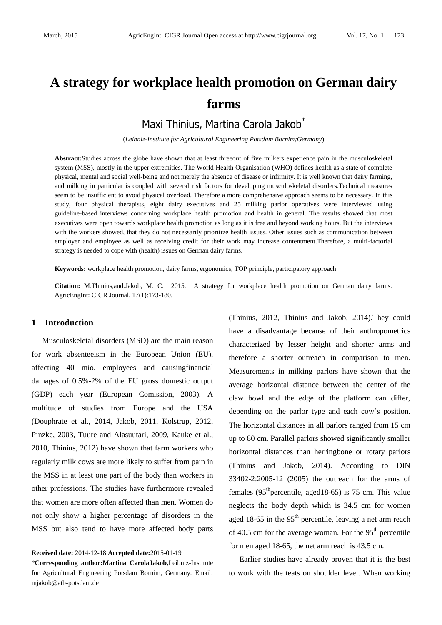# **A strategy for workplace health promotion on German dairy farms**

Maxi Thinius, Martina Carola Jakob\*

(*Leibniz-Institute for Agricultural Engineering Potsdam Bornim;Germany*)

**Abstract:**Studies across the globe have shown that at least threeout of five milkers experience pain in the musculoskeletal system (MSS), mostly in the upper extremities. The World Health Organisation (WHO) defines health as a state of complete physical, mental and social well-being and not merely the absence of disease or infirmity. It is well known that dairy farming, and milking in particular is coupled with several risk factors for developing musculoskeletal disorders.Technical measures seem to be insufficient to avoid physical overload. Therefore a more comprehensive approach seems to be necessary. In this study, four physical therapists, eight dairy executives and 25 milking parlor operatives were interviewed using guideline-based interviews concerning workplace health promotion and health in general. The results showed that most executives were open towards workplace health promotion as long as it is free and beyond working hours. But the interviews with the workers showed, that they do not necessarily prioritize health issues. Other issues such as communication between employer and employee as well as receiving credit for their work may increase contentment.Therefore, a multi-factorial strategy is needed to cope with (health) issues on German dairy farms.

**Keywords:** workplace health promotion, dairy farms, ergonomics, TOP principle, participatory approach

**Citation:** M.Thinius,and.Jakob, M. C. 2015. A strategy for workplace health promotion on German dairy farms. AgricEngInt: CIGR Journal, 17(1):173-180.

## **1 Introduction1**

 $\overline{a}$ 

Musculoskeletal disorders (MSD) are the main reason for work absenteeism in the European Union (EU), affecting 40 mio. employees and causingfinancial damages of 0.5%-2% of the EU gross domestic output (GDP) each year (European Comission, 2003). A multitude of studies from Europe and the USA (Douphrate et al., 2014, Jakob, 2011, Kolstrup, 2012, Pinzke, 2003, Tuure and Alasuutari, 2009, Kauke et al., 2010, Thinius, 2012) have shown that farm workers who regularly milk cows are more likely to suffer from pain in the MSS in at least one part of the body than workers in other professions. The studies have furthermore revealed that women are more often affected than men. Women do not only show a higher percentage of disorders in the MSS but also tend to have more affected body parts

(Thinius, 2012, Thinius and Jakob, 2014).They could have a disadvantage because of their anthropometrics characterized by lesser height and shorter arms and therefore a shorter outreach in comparison to men. Measurements in milking parlors have shown that the average horizontal distance between the center of the claw bowl and the edge of the platform can differ, depending on the parlor type and each cow's position. The horizontal distances in all parlors ranged from 15 cm up to 80 cm. Parallel parlors showed significantly smaller horizontal distances than herringbone or rotary parlors (Thinius and Jakob, 2014). According to DIN 33402-2:2005-12 (2005) the outreach for the arms of females  $(95<sup>th</sup>$  percentile, aged18-65) is 75 cm. This value neglects the body depth which is 34.5 cm for women aged 18-65 in the  $95<sup>th</sup>$  percentile, leaving a net arm reach of 40.5 cm for the average woman. For the  $95<sup>th</sup>$  percentile for men aged 18-65, the net arm reach is 43.5 cm.

Earlier studies have already proven that it is the best to work with the teats on shoulder level. When working

**Received date:** 2014-12-18 **Accepted date:**2015-01-19

<sup>\*</sup>**Corresponding author:Martina CarolaJakob,**Leibniz-Institute for Agricultural Engineering Potsdam Bornim, Germany. Email: mjakob@atb-potsdam.de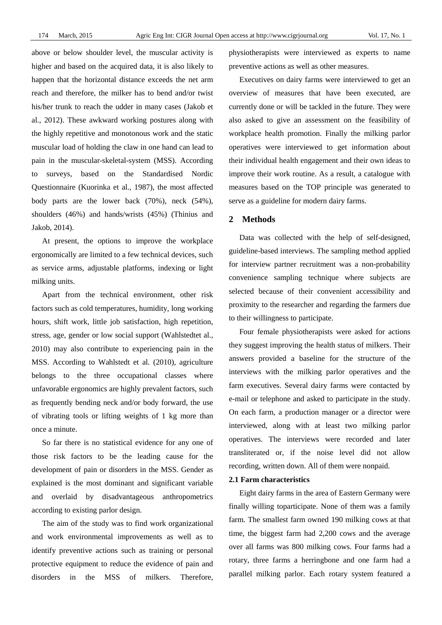above or below shoulder level, the muscular activity is higher and based on the acquired data, it is also likely to happen that the horizontal distance exceeds the net arm reach and therefore, the milker has to bend and/or twist his/her trunk to reach the udder in many cases (Jakob et al., 2012). These awkward working postures along with the highly repetitive and monotonous work and the static muscular load of holding the claw in one hand can lead to pain in the muscular-skeletal-system (MSS). According to surveys, based on the Standardised Nordic Questionnaire (Kuorinka et al., 1987), the most affected body parts are the lower back (70%), neck (54%), shoulders (46%) and hands/wrists (45%) (Thinius and Jakob, 2014).

At present, the options to improve the workplace ergonomically are limited to a few technical devices, such as service arms, adjustable platforms, indexing or light milking units.

Apart from the technical environment, other risk factors such as cold temperatures, humidity, long working hours, shift work, little job satisfaction, high repetition, stress, age, gender or low social support (Wahlstedtet al., 2010) may also contribute to experiencing pain in the MSS. According to Wahlstedt et al. (2010), agriculture belongs to the three occupational classes where unfavorable ergonomics are highly prevalent factors, such as frequently bending neck and/or body forward, the use of vibrating tools or lifting weights of 1 kg more than once a minute.

So far there is no statistical evidence for any one of those risk factors to be the leading cause for the development of pain or disorders in the MSS. Gender as explained is the most dominant and significant variable and overlaid by disadvantageous anthropometrics according to existing parlor design.

The aim of the study was to find work organizational and work environmental improvements as well as to identify preventive actions such as training or personal protective equipment to reduce the evidence of pain and disorders in the MSS of milkers. Therefore,

physiotherapists were interviewed as experts to name preventive actions as well as other measures.

Executives on dairy farms were interviewed to get an overview of measures that have been executed, are currently done or will be tackled in the future. They were also asked to give an assessment on the feasibility of workplace health promotion. Finally the milking parlor operatives were interviewed to get information about their individual health engagement and their own ideas to improve their work routine. As a result, a catalogue with measures based on the TOP principle was generated to serve as a guideline for modern dairy farms.

## **2 Methods**

Data was collected with the help of self-designed, guideline-based interviews. The sampling method applied for interview partner recruitment was a non-probability convenience sampling technique where subjects are selected because of their convenient accessibility and proximity to the researcher and regarding the farmers due to their willingness to participate.

Four female physiotherapists were asked for actions they suggest improving the health status of milkers. Their answers provided a baseline for the structure of the interviews with the milking parlor operatives and the farm executives. Several dairy farms were contacted by e-mail or telephone and asked to participate in the study. On each farm, a production manager or a director were interviewed, along with at least two milking parlor operatives. The interviews were recorded and later transliterated or, if the noise level did not allow recording, written down. All of them were nonpaid.

# **2.1 Farm characteristics**

Eight dairy farms in the area of Eastern Germany were finally willing toparticipate. None of them was a family farm. The smallest farm owned 190 milking cows at that time, the biggest farm had 2,200 cows and the average over all farms was 800 milking cows. Four farms had a rotary, three farms a herringbone and one farm had a parallel milking parlor. Each rotary system featured a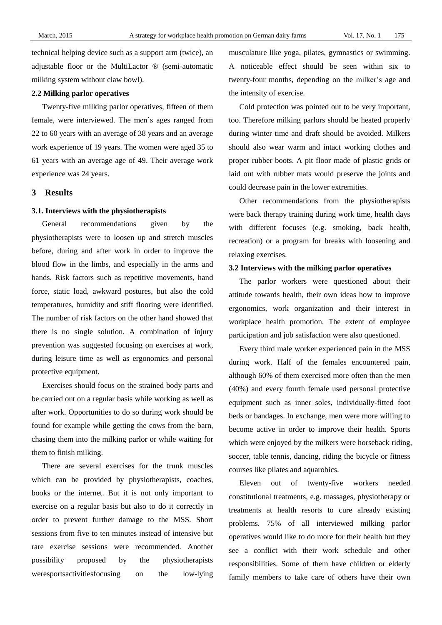technical helping device such as a support arm (twice), an adjustable floor or the MultiLactor ® (semi-automatic milking system without claw bowl).

# **2.2 Milking parlor operatives**

Twenty-five milking parlor operatives, fifteen of them female, were interviewed. The men's ages ranged from 22 to 60 years with an average of 38 years and an average work experience of 19 years. The women were aged 35 to 61 years with an average age of 49. Their average work experience was 24 years.

# **3 Results**

#### **3.1. Interviews with the physiotherapists**

General recommendations given by the physiotherapists were to loosen up and stretch muscles before, during and after work in order to improve the blood flow in the limbs, and especially in the arms and hands. Risk factors such as repetitive movements, hand force, static load, awkward postures, but also the cold temperatures, humidity and stiff flooring were identified. The number of risk factors on the other hand showed that there is no single solution. A combination of injury prevention was suggested focusing on exercises at work, during leisure time as well as ergonomics and personal protective equipment.

Exercises should focus on the strained body parts and be carried out on a regular basis while working as well as after work. Opportunities to do so during work should be found for example while getting the cows from the barn, chasing them into the milking parlor or while waiting for them to finish milking.

There are several exercises for the trunk muscles which can be provided by physiotherapists, coaches, books or the internet. But it is not only important to exercise on a regular basis but also to do it correctly in order to prevent further damage to the MSS. Short sessions from five to ten minutes instead of intensive but rare exercise sessions were recommended. Another possibility proposed by the physiotherapists weresportsactivitiesfocusing on the low-lying

musculature like yoga, pilates, gymnastics or swimming. A noticeable effect should be seen within six to twenty-four months, depending on the milker's age and the intensity of exercise.

Cold protection was pointed out to be very important, too. Therefore milking parlors should be heated properly during winter time and draft should be avoided. Milkers should also wear warm and intact working clothes and proper rubber boots. A pit floor made of plastic grids or laid out with rubber mats would preserve the joints and could decrease pain in the lower extremities.

Other recommendations from the physiotherapists were back therapy training during work time, health days with different focuses (e.g. smoking, back health, recreation) or a program for breaks with loosening and relaxing exercises.

#### **3.2 Interviews with the milking parlor operatives**

The parlor workers were questioned about their attitude towards health, their own ideas how to improve ergonomics, work organization and their interest in workplace health promotion. The extent of employee participation and job satisfaction were also questioned.

Every third male worker experienced pain in the MSS during work. Half of the females encountered pain, although 60% of them exercised more often than the men (40%) and every fourth female used personal protective equipment such as inner soles, individually-fitted foot beds or bandages. In exchange, men were more willing to become active in order to improve their health. Sports which were enjoyed by the milkers were horseback riding, soccer, table tennis, dancing, riding the bicycle or fitness courses like pilates and aquarobics.

Eleven out of twenty-five workers needed constitutional treatments, e.g. massages, physiotherapy or treatments at health resorts to cure already existing problems. 75% of all interviewed milking parlor operatives would like to do more for their health but they see a conflict with their work schedule and other responsibilities. Some of them have children or elderly family members to take care of others have their own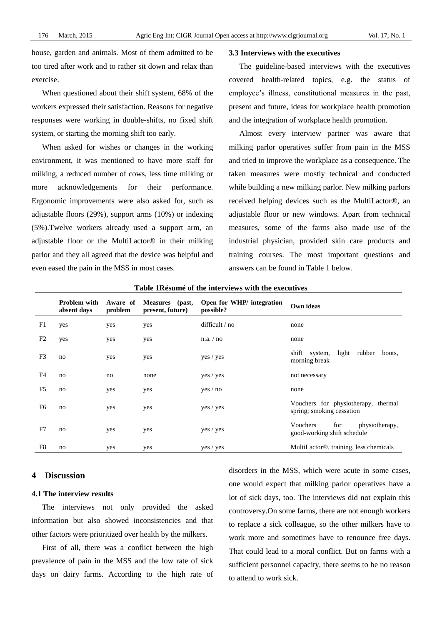house, garden and animals. Most of them admitted to be too tired after work and to rather sit down and relax than exercise.

When questioned about their shift system, 68% of the workers expressed their satisfaction. Reasons for negative responses were working in double-shifts, no fixed shift system, or starting the morning shift too early.

When asked for wishes or changes in the working environment, it was mentioned to have more staff for milking, a reduced number of cows, less time milking or more acknowledgements for their performance. Ergonomic improvements were also asked for, such as adjustable floors (29%), support arms (10%) or indexing (5%).Twelve workers already used a support arm, an adjustable floor or the MultiLactor® in their milking parlor and they all agreed that the device was helpful and even eased the pain in the MSS in most cases.

# **3.3 Interviews with the executives**

The guideline-based interviews with the executives covered health-related topics, e.g. the status of employee's illness, constitutional measures in the past, present and future, ideas for workplace health promotion and the integration of workplace health promotion.

Almost every interview partner was aware that milking parlor operatives suffer from pain in the MSS and tried to improve the workplace as a consequence. The taken measures were mostly technical and conducted while building a new milking parlor. New milking parlors received helping devices such as the MultiLactor®, an adjustable floor or new windows. Apart from technical measures, some of the farms also made use of the industrial physician, provided skin care products and training courses. The most important questions and answers can be found in Table 1 below.

|                | <b>Problem with</b><br>absent days | Aware of<br>problem | Measures (past,<br>present, future) | Open for WHP/ integration<br>possible? | Own ideas                                                        |
|----------------|------------------------------------|---------------------|-------------------------------------|----------------------------------------|------------------------------------------------------------------|
| F1             | yes                                | yes                 | yes                                 | difficult / no                         | none                                                             |
| F <sub>2</sub> | yes                                | yes                 | yes                                 | n.a. / no                              | none                                                             |
| F <sub>3</sub> | no                                 | yes                 | yes                                 | yes / yes                              | light<br>shift system,<br>rubber<br>boots,<br>morning break      |
| F4             | no                                 | no                  | none                                | yes / yes                              | not necessary                                                    |
| F <sub>5</sub> | no                                 | yes                 | yes                                 | yes / no                               | none                                                             |
| F6             | no                                 | yes                 | yes                                 | yes / yes                              | Vouchers for physiotherapy, thermal<br>spring; smoking cessation |
| F7             | no                                 | yes                 | yes                                 | yes / yes                              | for<br>Vouchers<br>physiotherapy,<br>good-working shift schedule |
| F <sub>8</sub> | no                                 | yes                 | yes                                 | yes / yes                              | MultiLactor <sup>®</sup> , training, less chemicals              |

**Table 1Résuméof the interviews with the executives**

# **4 Discussion**

## **4.1 The interview results**

The interviews not only provided the asked information but also showed inconsistencies and that other factors were prioritized over health by the milkers.

First of all, there was a conflict between the high prevalence of pain in the MSS and the low rate of sick days on dairy farms. According to the high rate of

disorders in the MSS, which were acute in some cases, one would expect that milking parlor operatives have a lot of sick days, too. The interviews did not explain this controversy.On some farms, there are not enough workers to replace a sick colleague, so the other milkers have to work more and sometimes have to renounce free days. That could lead to a moral conflict. But on farms with a sufficient personnel capacity, there seems to be no reason to attend to work sick.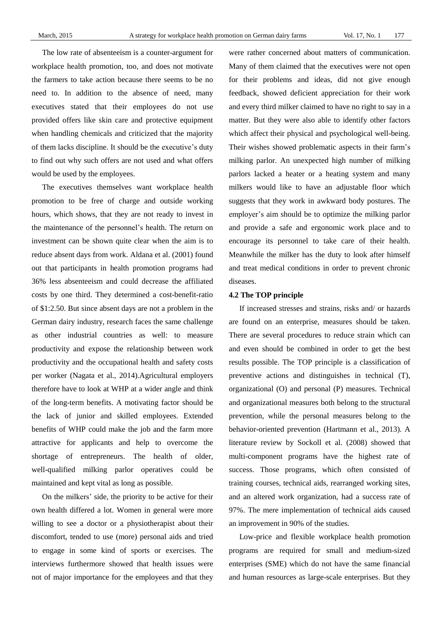The low rate of absenteeism is a counter-argument for workplace health promotion, too, and does not motivate the farmers to take action because there seems to be no need to. In addition to the absence of need, many executives stated that their employees do not use provided offers like skin care and protective equipment when handling chemicals and criticized that the majority of them lacks discipline. It should be the executive's duty to find out why such offers are not used and what offers would be used by the employees.

The executives themselves want workplace health promotion to be free of charge and outside working hours, which shows, that they are not ready to invest in the maintenance of the personnel's health. The return on investment can be shown quite clear when the aim is to reduce absent days from work. Aldana et al. (2001) found out that participants in health promotion programs had 36% less absenteeism and could decrease the affiliated costs by one third. They determined a cost-benefit-ratio of \$1:2.50. But since absent days are not a problem in the German dairy industry, research faces the same challenge as other industrial countries as well: to measure productivity and expose the relationship between work productivity and the occupational health and safety costs per worker (Nagata et al., 2014).Agricultural employers therefore have to look at WHP at a wider angle and think of the long-term benefits. A motivating factor should be the lack of junior and skilled employees. Extended benefits of WHP could make the job and the farm more attractive for applicants and help to overcome the shortage of entrepreneurs. The health of older, well-qualified milking parlor operatives could be maintained and kept vital as long as possible.

On the milkers' side, the priority to be active for their own health differed a lot. Women in general were more willing to see a doctor or a physiotherapist about their discomfort, tended to use (more) personal aids and tried to engage in some kind of sports or exercises. The interviews furthermore showed that health issues were not of major importance for the employees and that they

were rather concerned about matters of communication. Many of them claimed that the executives were not open for their problems and ideas, did not give enough feedback, showed deficient appreciation for their work and every third milker claimed to have no right to say in a matter. But they were also able to identify other factors which affect their physical and psychological well-being. Their wishes showed problematic aspects in their farm's milking parlor. An unexpected high number of milking parlors lacked a heater or a heating system and many milkers would like to have an adjustable floor which suggests that they work in awkward body postures. The employer's aim should be to optimize the milking parlor and provide a safe and ergonomic work place and to encourage its personnel to take care of their health. Meanwhile the milker has the duty to look after himself and treat medical conditions in order to prevent chronic diseases.

#### **4.2 The TOP principle**

If increased stresses and strains, risks and/ or hazards are found on an enterprise, measures should be taken. There are several procedures to reduce strain which can and even should be combined in order to get the best results possible. The TOP principle is a classification of preventive actions and distinguishes in technical (T), organizational (O) and personal (P) measures. Technical and organizational measures both belong to the structural prevention, while the personal measures belong to the behavior-oriented prevention (Hartmann et al., 2013). A literature review by Sockoll et al. (2008) showed that multi-component programs have the highest rate of success. Those programs, which often consisted of training courses, technical aids, rearranged working sites, and an altered work organization, had a success rate of 97%. The mere implementation of technical aids caused an improvement in 90% of the studies.

Low-price and flexible workplace health promotion programs are required for small and medium-sized enterprises (SME) which do not have the same financial and human resources as large-scale enterprises. But they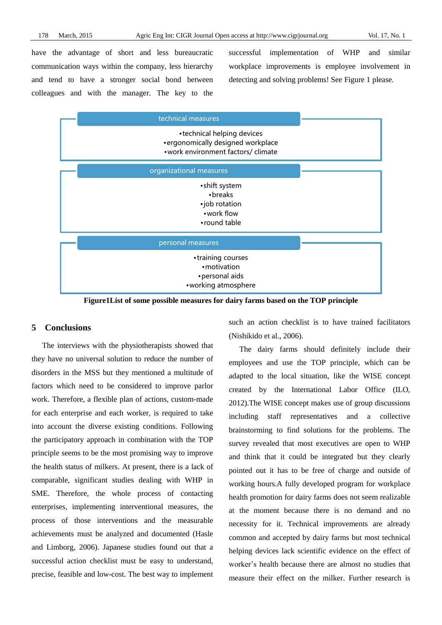have the advantage of short and less bureaucratic communication ways within the company, less hierarchy and tend to have a stronger social bond between colleagues and with the manager. The key to the successful implementation of WHP and similar workplace improvements is employee involvement in detecting and solving problems! See Figure 1 please.

| technical measures                                                                                       |  |
|----------------------------------------------------------------------------------------------------------|--|
| • technical helping devices<br>• ergonomically designed workplace<br>• work environment factors/ climate |  |
| organizational measures                                                                                  |  |
| • shift system<br>• breaks<br>•job rotation<br>• work flow<br>• round table                              |  |
| personal measures                                                                                        |  |
| •training courses<br>• motivation<br>• personal aids<br>• working atmosphere                             |  |

**Figure1List of some possible measures for dairy farms based on the TOP principle**

# **5 Conclusions**

The interviews with the physiotherapists showed that they have no universal solution to reduce the number of disorders in the MSS but they mentioned a multitude of factors which need to be considered to improve parlor work. Therefore, a flexible plan of actions, custom-made for each enterprise and each worker, is required to take into account the diverse existing conditions. Following the participatory approach in combination with the TOP principle seems to be the most promising way to improve the health status of milkers. At present, there is a lack of comparable, significant studies dealing with WHP in SME. Therefore, the whole process of contacting enterprises, implementing interventional measures, the process of those interventions and the measurable achievements must be analyzed and documented (Hasle and Limborg, 2006). Japanese studies found out that a successful action checklist must be easy to understand, precise, feasible and low-cost. The best way to implement

such an action checklist is to have trained facilitators (Nishikido et al., 2006).

The dairy farms should definitely include their employees and use the TOP principle, which can be adapted to the local situation, like the WISE concept created by the International Labor Office (ILO, 2012).The WISE concept makes use of group discussions including staff representatives and a collective brainstorming to find solutions for the problems. The survey revealed that most executives are open to WHP and think that it could be integrated but they clearly pointed out it has to be free of charge and outside of working hours.A fully developed program for workplace health promotion for dairy farms does not seem realizable at the moment because there is no demand and no necessity for it. Technical improvements are already common and accepted by dairy farms but most technical helping devices lack scientific evidence on the effect of worker's health because there are almost no studies that measure their effect on the milker. Further research is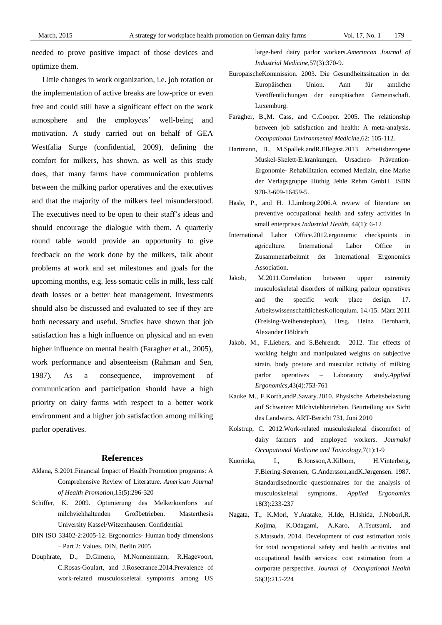needed to prove positive impact of those devices and optimize them.

Little changes in work organization, i.e. job rotation or the implementation of active breaks are low-price or even free and could still have a significant effect on the work atmosphere and the employees' well-being and motivation. A study carried out on behalf of GEA Westfalia Surge (confidential, 2009), defining the comfort for milkers, has shown, as well as this study does, that many farms have communication problems between the milking parlor operatives and the executives and that the majority of the milkers feel misunderstood. The executives need to be open to their staff's ideas and should encourage the dialogue with them. A quarterly round table would provide an opportunity to give feedback on the work done by the milkers, talk about problems at work and set milestones and goals for the upcoming months, e.g. less somatic cells in milk, less calf death losses or a better heat management. Investments should also be discussed and evaluated to see if they are both necessary and useful. Studies have shown that job satisfaction has a high influence on physical and an even higher influence on mental health (Faragher et al., 2005), work performance and absenteeism (Rahman and Sen, 1987). As a consequence, improvement of communication and participation should have a high priority on dairy farms with respect to a better work environment and a higher job satisfaction among milking parlor operatives.

# **References**

- Aldana, S.2001.Financial Impact of Health Promotion programs: A Comprehensive Review of Literature. *American Journal of Health Promotion*,15(5):296-320
- Schiffer, K. 2009. Optimierung des Melkerkomforts auf milchviehhaltenden Großbetrieben. Masterthesis University Kassel/Witzenhausen. Confidential.
- DIN ISO 33402-2:2005-12. Ergonomics- Human body dimensions – Part 2: Values. DIN, Berlin 2005
- Douphrate, D., D.Gimeno, M.Nonnenmann, R.Hagevoort, C.Rosas-Goulart, and J.Rosecrance.2014.Prevalence of work-related musculoskeletal symptoms among US

large-herd dairy parlor workers.*Amerincan Journal of Industrial Medicine*,57(3):370-9.

- EuropäischeKommission. 2003. Die Gesundheitssituation in der Europäischen Union. Amt für amtliche Veröffentlichungen der europäischen Gemeinschaft. Luxemburg.
- Faragher, B.,M. Cass, and C.Cooper. 2005. The relationship between job satisfaction and health: A meta-analysis. *Occupational Environmental Medicine,*62: 105-112.
- Hartmann, B., M.Spallek,andR.Ellegast.2013. Arbeitsbezogene Muskel-Skelett-Erkrankungen. Ursachen- Prävention-Ergonomie- Rehabilitation. ecomed Medizin, eine Marke der Verlagsgruppe Hüthig Jehle Rehm GmbH. ISBN 978-3-609-16459-5.
- Hasle, P., and H. J.Limborg.2006.A review of literature on preventive occupational health and safety activities in small enterprises.*Industrial Health*, 44(1): 6-12
- International Labor Office.2012.ergonomic checkpoints in agriculture. International Labor Office in Zusammenarbeitmit der International Ergonomics Association.
- Jakob, M.2011.Correlation between upper extremity musculoskeletal disorders of milking parlour operatives and the specific work place design. 17. ArbeitswissenschaftlichesKolloquium. 14./15. März 2011 (Freising-Weihenstephan), Hrsg. Heinz Bernhardt, Alexander Höldrich
- Jakob, M., F.Liebers, and S.Behrendt. 2012. The effects of working height and manipulated weights on subjective strain, body posture and muscular activity of milking parlor operatives – Laboratory study.*Applied Ergonomics,*43(4):753-761
- Kauke M., F.Korth,andP.Savary.2010. Physische Arbeitsbelastung auf Schweizer Milchviehbetrieben. Beurteilung aus Sicht des Landwirts. ART-Bericht 731, Juni 2010
- Kolstrup, C. 2012.Work-related musculoskeletal discomfort of dairy farmers and employed workers. *Journalof Occupational Medicine and Toxicology,*7(1):1-9
- Kuorinka, I., B.Jonsson,A.Kilbom, H.Vinterberg, F.Biering-Sørensen, G.Andersson,andK.Jørgensen. 1987. Standardisednordic questionnaires for the analysis of musculoskeletal symptoms. *Applied Ergonomics* 18(3):233-237
- Nagata, T., K.Mori, Y.Aratake, H.Ide, H.Ishida, J.Nobori,R. Kojima, K.Odagami, A.Karo, A.Tsutsumi, and S.Matsuda. 2014. Development of cost estimation tools for total occupational safety and health acitivities and occupational health services: cost estimation from a corporate perspective. *Journal of Occupational Health* 56(3):215-224